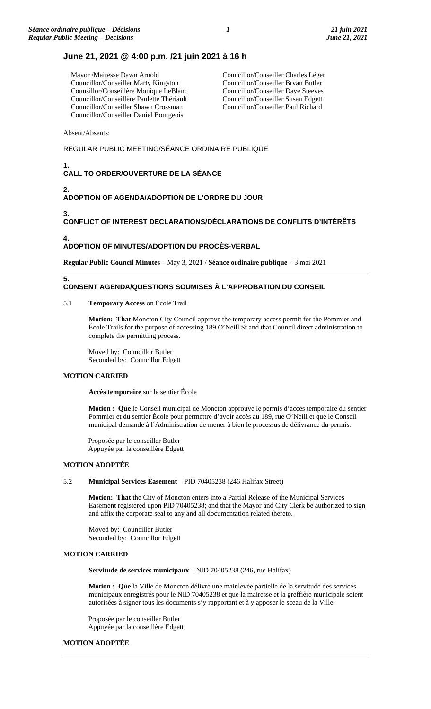# **June 21, 2021 @ 4:00 p.m. /21 juin 2021 à 16 h**

Mayor /Mairesse Dawn Arnold Councillor/Conseiller Marty Kingston Counsillor/Conseillère Monique LeBlanc Councillor/Conseillère Paulette Thériault Councillor/Conseiller Shawn Crossman Councillor/Conseiller Daniel Bourgeois

Councillor/Conseiller Charles Léger Councillor/Conseiller Bryan Butler Councillor/Conseiller Dave Steeves Councillor/Conseiller Susan Edgett Councillor/Conseiller Paul Richard

Absent/Absents:

## REGULAR PUBLIC MEETING/SÉANCE ORDINAIRE PUBLIQUE

#### **1. CALL TO ORDER/OUVERTURE DE LA SÉANCE**

# **ADOPTION OF AGENDA/ADOPTION DE L'ORDRE DU JOUR**

**3.**

**2.**

# **CONFLICT OF INTEREST DECLARATIONS/DÉCLARATIONS DE CONFLITS D'INTÉRÊTS**

**4.**

**5.**

## **ADOPTION OF MINUTES/ADOPTION DU PROCÈS-VERBAL**

**Regular Public Council Minutes –** May 3, 2021 / **Séance ordinaire publique** – 3 mai 2021

# **CONSENT AGENDA/QUESTIONS SOUMISES À L'APPROBATION DU CONSEIL**

## 5.1 **Temporary Access** on École Trail

**Motion: That** Moncton City Council approve the temporary access permit for the Pommier and École Trails for the purpose of accessing 189 O'Neill St and that Council direct administration to complete the permitting process.

Moved by: Councillor Butler Seconded by: Councillor Edgett

# **MOTION CARRIED**

**Accès temporaire** sur le sentier École

**Motion : Que** le Conseil municipal de Moncton approuve le permis d'accès temporaire du sentier Pommier et du sentier École pour permettre d'avoir accès au 189, rue O'Neill et que le Conseil municipal demande à l'Administration de mener à bien le processus de délivrance du permis.

Proposée par le conseiller Butler Appuyée par la conseillère Edgett

#### **MOTION ADOPTÉE**

#### 5.2 **Municipal Services Easement** – PID 70405238 (246 Halifax Street)

**Motion: That** the City of Moncton enters into a Partial Release of the Municipal Services Easement registered upon PID 70405238; and that the Mayor and City Clerk be authorized to sign and affix the corporate seal to any and all documentation related thereto.

Moved by: Councillor Butler Seconded by: Councillor Edgett

# **MOTION CARRIED**

**Servitude de services municipaux** – NID 70405238 (246, rue Halifax)

**Motion : Que** la Ville de Moncton délivre une mainlevée partielle de la servitude des services municipaux enregistrés pour le NID 70405238 et que la mairesse et la greffière municipale soient autorisées à signer tous les documents s'y rapportant et à y apposer le sceau de la Ville.

Proposée par le conseiller Butler Appuyée par la conseillère Edgett

## **MOTION ADOPTÉE**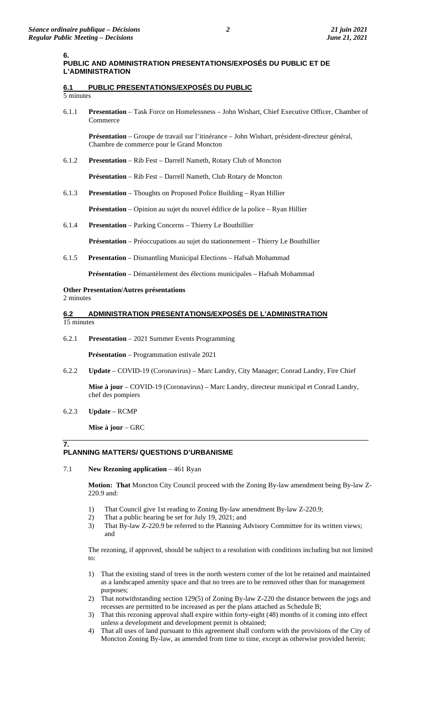# **6.1 PUBLIC PRESENTATIONS/EXPOSÉS DU PUBLIC**

5 minutes

6.1.1 **Presentation** – Task Force on Homelessness – John Wishart, Chief Executive Officer, Chamber of Commerce

**Présentation** – Groupe de travail sur l'itinérance – John Wishart, président-directeur général, Chambre de commerce pour le Grand Moncton

6.1.2 **Presentation** – Rib Fest – Darrell Nameth, Rotary Club of Moncton

**Présentation** – Rib Fest – Darrell Nameth, Club Rotary de Moncton

6.1.3 **Presentation** – Thoughts on Proposed Police Building – Ryan Hillier

**Présentation** – Opinion au sujet du nouvel édifice de la police – Ryan Hillier

6.1.4 **Presentation** – Parking Concerns – Thierry Le Bouthillier

**Présentation** – Préoccupations au sujet du stationnement – Thierry Le Bouthillier

6.1.5 **Presentation** – Dismantling Municipal Elections – Hafsah Mohammad

**Présentation** – Démantèlement des élections municipales – Hafsah Mohammad

## **Other Presentation/Autres présentations**

2 minutes

**7.**

#### **6.2 ADMINISTRATION PRESENTATIONS/EXPOSÉS DE L'ADMINISTRATION**  15 minutes

6.2.1 **Presentation** – 2021 Summer Events Programming

**Présentation** – Programmation estivale 2021

6.2.2 **Update** – COVID-19 (Coronavirus) – Marc Landry, City Manager; Conrad Landry, Fire Chief

**Mise à jour** – COVID-19 (Coronavirus) – Marc Landry, directeur municipal et Conrad Landry, chef des pompiers

6.2.3 **Update** – RCMP

**Mise à jour** – GRC

# **PLANNING MATTERS/ QUESTIONS D'URBANISME**

7.1 **New Rezoning application** – 461 Ryan

**Motion: That** Moncton City Council proceed with the Zoning By-law amendment being By-law Z-220.9 and:

- 1) That Council give 1st reading to Zoning By-law amendment By-law Z-220.9;
- 2) That a public hearing be set for July 19, 2021; and
- 3) That By-law Z-220.9 be referred to the Planning Advisory Committee for its written views; and

The rezoning, if approved, should be subject to a resolution with conditions including but not limited to:

- 1) That the existing stand of trees in the north western corner of the lot be retained and maintained as a landscaped amenity space and that no trees are to be removed other than for management purposes;
- 2) That notwithstanding section 129(5) of Zoning By-law Z-220 the distance between the jogs and recesses are permitted to be increased as per the plans attached as Schedule B;
- 3) That this rezoning approval shall expire within forty-eight (48) months of it coming into effect unless a development and development permit is obtained;
- 4) That all uses of land pursuant to this agreement shall conform with the provisions of the City of Moncton Zoning By-law, as amended from time to time, except as otherwise provided herein;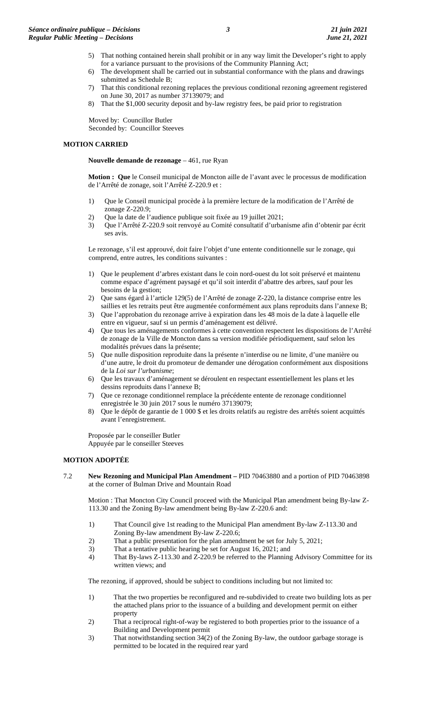- 5) That nothing contained herein shall prohibit or in any way limit the Developer's right to apply for a variance pursuant to the provisions of the Community Planning Act;
- 6) The development shall be carried out in substantial conformance with the plans and drawings submitted as Schedule B;
- 7) That this conditional rezoning replaces the previous conditional rezoning agreement registered on June 30, 2017 as number 37139079; and
- 8) That the \$1,000 security deposit and by-law registry fees, be paid prior to registration

Moved by: Councillor Butler Seconded by: Councillor Steeves

## **MOTION CARRIED**

#### **Nouvelle demande de rezonage** – 461, rue Ryan

**Motion : Que** le Conseil municipal de Moncton aille de l'avant avec le processus de modification de l'Arrêté de zonage, soit l'Arrêté Z-220.9 et :

- 1) Que le Conseil municipal procède à la première lecture de la modification de l'Arrêté de zonage Z-220.9;
- 2) Que la date de l'audience publique soit fixée au 19 juillet 2021;
- 3) Que l'Arrêté Z-220.9 soit renvoyé au Comité consultatif d'urbanisme afin d'obtenir par écrit ses avis.

Le rezonage, s'il est approuvé, doit faire l'objet d'une entente conditionnelle sur le zonage, qui comprend, entre autres, les conditions suivantes :

- 1) Que le peuplement d'arbres existant dans le coin nord-ouest du lot soit préservé et maintenu comme espace d'agrément paysagé et qu'il soit interdit d'abattre des arbres, sauf pour les besoins de la gestion;
- 2) Que sans égard à l'article 129(5) de l'Arrêté de zonage Z-220, la distance comprise entre les saillies et les retraits peut être augmentée conformément aux plans reproduits dans l'annexe B;
- 3) Que l'approbation du rezonage arrive à expiration dans les 48 mois de la date à laquelle elle entre en vigueur, sauf si un permis d'aménagement est délivré.
- 4) Que tous les aménagements conformes à cette convention respectent les dispositions de l'Arrêté de zonage de la Ville de Moncton dans sa version modifiée périodiquement, sauf selon les modalités prévues dans la présente;
- 5) Que nulle disposition reproduite dans la présente n'interdise ou ne limite, d'une manière ou d'une autre, le droit du promoteur de demander une dérogation conformément aux dispositions de la *Loi sur l'urbanisme*;
- 6) Que les travaux d'aménagement se déroulent en respectant essentiellement les plans et les dessins reproduits dans l'annexe B;
- 7) Que ce rezonage conditionnel remplace la précédente entente de rezonage conditionnel enregistrée le 30 juin 2017 sous le numéro 37139079;
- 8) Que le dépôt de garantie de 1 000 \$ et les droits relatifs au registre des arrêtés soient acquittés avant l'enregistrement.

Proposée par le conseiller Butler Appuyée par le conseiller Steeves

## **MOTION ADOPTÉE**

7.2 **New Rezoning and Municipal Plan Amendment –** PID 70463880 and a portion of PID 70463898 at the corner of Bulman Drive and Mountain Road

Motion : That Moncton City Council proceed with the Municipal Plan amendment being By-law Z-113.30 and the Zoning By-law amendment being By-law Z-220.6 and:

- 1) That Council give 1st reading to the Municipal Plan amendment By-law Z-113.30 and Zoning By-law amendment By-law Z-220.6;
- 2) That a public presentation for the plan amendment be set for July 5, 2021;
- 3) That a tentative public hearing be set for August 16, 2021; and
- 4) That By-laws Z-113.30 and Z-220.9 be referred to the Planning Advisory Committee for its written views; and

The rezoning, if approved, should be subject to conditions including but not limited to:

- 1) That the two properties be reconfigured and re-subdivided to create two building lots as per the attached plans prior to the issuance of a building and development permit on either property
- 2) That a reciprocal right-of-way be registered to both properties prior to the issuance of a Building and Development permit
- 3) That notwithstanding section 34(2) of the Zoning By-law, the outdoor garbage storage is permitted to be located in the required rear yard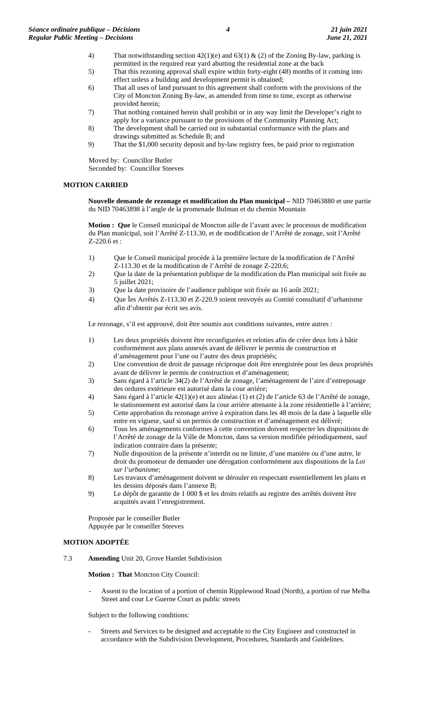- 4) That notwithstanding section 42(1)(e) and 63(1) & (2) of the Zoning By-law, parking is permitted in the required rear yard abutting the residential zone at the back
- 5) That this rezoning approval shall expire within forty-eight (48) months of it coming into effect unless a building and development permit is obtained;
- 6) That all uses of land pursuant to this agreement shall conform with the provisions of the City of Moncton Zoning By-law, as amended from time to time, except as otherwise provided herein;
- 7) That nothing contained herein shall prohibit or in any way limit the Developer's right to apply for a variance pursuant to the provisions of the Community Planning Act;
- 8) The development shall be carried out in substantial conformance with the plans and drawings submitted as Schedule B; and
- 9) That the \$1,000 security deposit and by-law registry fees, be paid prior to registration
- Moved by: Councillor Butler

Seconded by: Councillor Steeves

# **MOTION CARRIED**

**Nouvelle demande de rezonage et modification du Plan municipal –** NID 70463880 et une partie du NID 70463898 à l'angle de la promenade Bulman et du chemin Mountain

**Motion : Que** le Conseil municipal de Moncton aille de l'avant avec le processus de modification du Plan municipal, soit l'Arrêté Z-113.30, et de modification de l'Arrêté de zonage, soit l'Arrêté Z-220.6 et :

- 1) Que le Conseil municipal procède à la première lecture de la modification de l'Arrêté Z-113.30 et de la modification de l'Arrêté de zonage Z-220.6;
- 2) Que la date de la présentation publique de la modification du Plan municipal soit fixée au 5 juillet 2021;
- 3) Que la date provisoire de l'audience publique soit fixée au 16 août 2021;
- 4) Que les Arrêtés Z-113.30 et Z-220.9 soient renvoyés au Comité consultatif d'urbanisme afin d'obtenir par écrit ses avis.

Le rezonage, s'il est approuvé, doit être soumis aux conditions suivantes, entre autres :

- 1) Les deux propriétés doivent être reconfigurées et reloties afin de créer deux lots à bâtir conformément aux plans annexés avant de délivrer le permis de construction et d'aménagement pour l'une ou l'autre des deux propriétés;
- 2) Une convention de droit de passage réciproque doit être enregistrée pour les deux propriétés avant de délivrer le permis de construction et d'aménagement;
- 3) Sans égard à l'article 34(2) de l'Arrêté de zonage, l'aménagement de l'aire d'entreposage des ordures extérieure est autorisé dans la cour arrière;
- 4) Sans égard à l'article 42(1)(e) et aux alinéas (1) et (2) de l'article 63 de l'Arrêté de zonage, le stationnement est autorisé dans la cour arrière attenante à la zone résidentielle à l'arrière;
- 5) Cette approbation du rezonage arrive à expiration dans les 48 mois de la date à laquelle elle entre en vigueur, sauf si un permis de construction et d'aménagement est délivré;
- 6) Tous les aménagements conformes à cette convention doivent respecter les dispositions de l'Arrêté de zonage de la Ville de Moncton, dans sa version modifiée périodiquement, sauf indication contraire dans la présente;
- 7) Nulle disposition de la présente n'interdit ou ne limite, d'une manière ou d'une autre, le droit du promoteur de demander une dérogation conformément aux dispositions de la *Loi sur l'urbanisme*;
- 8) Les travaux d'aménagement doivent se dérouler en respectant essentiellement les plans et les dessins déposés dans l'annexe B;
- 9) Le dépôt de garantie de 1 000 \$ et les droits relatifs au registre des arrêtés doivent être acquittés avant l'enregistrement.

Proposée par le conseiller Butler Appuyée par le conseiller Steeves

# **MOTION ADOPTÉE**

7.3 **Amending** Unit 20, Grove Hamlet Subdivision

**Motion : That** Moncton City Council:

Assent to the location of a portion of chemin Ripplewood Road (North), a portion of rue Melba Street and cour Le Guerne Court as public streets

Subject to the following conditions:

- Streets and Services to be designed and acceptable to the City Engineer and constructed in accordance with the Subdivision Development, Procedures, Standards and Guidelines.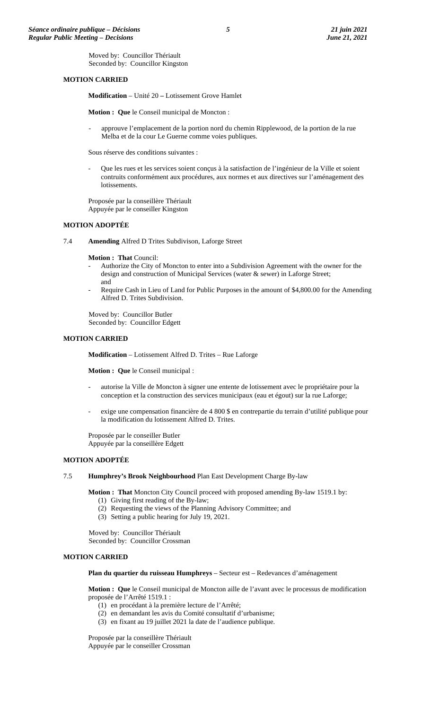Moved by: Councillor Thériault Seconded by: Councillor Kingston

#### **MOTION CARRIED**

**Modification** – Unité 20 **–** Lotissement Grove Hamlet

**Motion : Que** le Conseil municipal de Moncton :

approuve l'emplacement de la portion nord du chemin Ripplewood, de la portion de la rue Melba et de la cour Le Guerne comme voies publiques.

Sous réserve des conditions suivantes :

Que les rues et les services soient conçus à la satisfaction de l'ingénieur de la Ville et soient contruits conformément aux procédures, aux normes et aux directives sur l'aménagement des lotissements.

Proposée par la conseillère Thériault Appuyée par le conseiller Kingston

#### **MOTION ADOPTÉE**

7.4 **Amending** Alfred D Trites Subdivison, Laforge Street

**Motion : That** Council:

- Authorize the City of Moncton to enter into a Subdivision Agreement with the owner for the design and construction of Municipal Services (water & sewer) in Laforge Street; and
- Require Cash in Lieu of Land for Public Purposes in the amount of \$4,800.00 for the Amending Alfred D. Trites Subdivision.

Moved by: Councillor Butler Seconded by: Councillor Edgett

#### **MOTION CARRIED**

**Modification** – Lotissement Alfred D. Trites – Rue Laforge

**Motion : Que** le Conseil municipal :

- autorise la Ville de Moncton à signer une entente de lotissement avec le propriétaire pour la conception et la construction des services municipaux (eau et égout) sur la rue Laforge;
- exige une compensation financière de 4 800 \$ en contrepartie du terrain d'utilité publique pour la modification du lotissement Alfred D. Trites.

Proposée par le conseiller Butler Appuyée par la conseillère Edgett

#### **MOTION ADOPTÉE**

7.5 **Humphrey's Brook Neighbourhood** Plan East Development Charge By-law

**Motion : That** Moncton City Council proceed with proposed amending By-law 1519.1 by:

- (1) Giving first reading of the By-law;
- (2) Requesting the views of the Planning Advisory Committee; and
- (3) Setting a public hearing for July 19, 2021.

Moved by: Councillor Thériault Seconded by: Councillor Crossman

# **MOTION CARRIED**

**Plan du quartier du ruisseau Humphreys** – Secteur est – Redevances d'aménagement

**Motion : Que** le Conseil municipal de Moncton aille de l'avant avec le processus de modification proposée de l'Arrêté 1519.1 :

- (1) en procédant à la première lecture de l'Arrêté;
- (2) en demandant les avis du Comité consultatif d'urbanisme;
- (3) en fixant au 19 juillet 2021 la date de l'audience publique.

Proposée par la conseillère Thériault Appuyée par le conseiller Crossman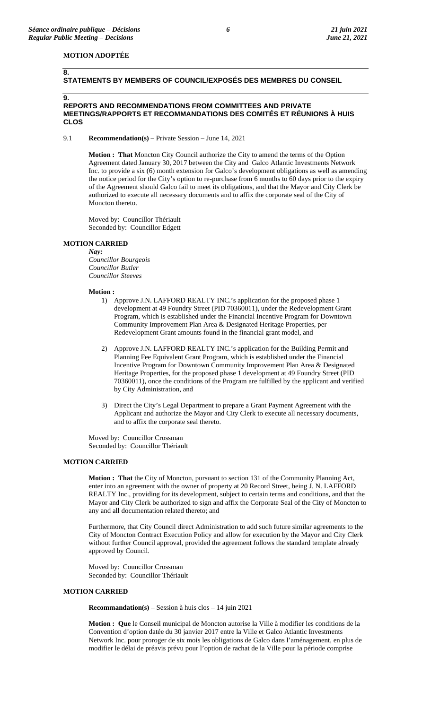**8.**

## **MOTION ADOPTÉE**

# **STATEMENTS BY MEMBERS OF COUNCIL/EXPOSÉS DES MEMBRES DU CONSEIL**

#### **9. REPORTS AND RECOMMENDATIONS FROM COMMITTEES AND PRIVATE MEETINGS/RAPPORTS ET RECOMMANDATIONS DES COMITÉS ET RÉUNIONS À HUIS CLOS**

#### 9.1 **Recommendation(s)** – Private Session – June 14, 2021

**Motion : That** Moncton City Council authorize the City to amend the terms of the Option Agreement dated January 30, 2017 between the City and Galco Atlantic Investments Network Inc. to provide a six (6) month extension for Galco's development obligations as well as amending the notice period for the City's option to re-purchase from 6 months to 60 days prior to the expiry of the Agreement should Galco fail to meet its obligations, and that the Mayor and City Clerk be authorized to execute all necessary documents and to affix the corporate seal of the City of Moncton thereto.

Moved by: Councillor Thériault Seconded by: Councillor Edgett

#### **MOTION CARRIED**

#### *Nay:*

*Councillor Bourgeois Councillor Butler Councillor Steeves*

#### **Motion :**

- 1) Approve J.N. LAFFORD REALTY INC.'s application for the proposed phase 1 development at 49 Foundry Street (PID 70360011), under the Redevelopment Grant Program, which is established under the Financial Incentive Program for Downtown Community Improvement Plan Area & Designated Heritage Properties, per Redevelopment Grant amounts found in the financial grant model, and
- 2) Approve J.N. LAFFORD REALTY INC.'s application for the Building Permit and Planning Fee Equivalent Grant Program, which is established under the Financial Incentive Program for Downtown Community Improvement Plan Area & Designated Heritage Properties, for the proposed phase 1 development at 49 Foundry Street (PID 70360011), once the conditions of the Program are fulfilled by the applicant and verified by City Administration, and
- 3) Direct the City's Legal Department to prepare a Grant Payment Agreement with the Applicant and authorize the Mayor and City Clerk to execute all necessary documents, and to affix the corporate seal thereto.

Moved by: Councillor Crossman Seconded by: Councillor Thériault

### **MOTION CARRIED**

**Motion : That** the City of Moncton, pursuant to section 131 of the Community Planning Act, enter into an agreement with the owner of property at 20 Record Street, being J. N. LAFFORD REALTY Inc., providing for its development, subject to certain terms and conditions, and that the Mayor and City Clerk be authorized to sign and affix the Corporate Seal of the City of Moncton to any and all documentation related thereto; and

Furthermore, that City Council direct Administration to add such future similar agreements to the City of Moncton Contract Execution Policy and allow for execution by the Mayor and City Clerk without further Council approval, provided the agreement follows the standard template already approved by Council.

Moved by: Councillor Crossman Seconded by: Councillor Thériault

#### **MOTION CARRIED**

**Recommandation(s)** – Session à huis clos – 14 juin 2021

**Motion : Que** le Conseil municipal de Moncton autorise la Ville à modifier les conditions de la Convention d'option datée du 30 janvier 2017 entre la Ville et Galco Atlantic Investments Network Inc. pour proroger de six mois les obligations de Galco dans l'aménagement, en plus de modifier le délai de préavis prévu pour l'option de rachat de la Ville pour la période comprise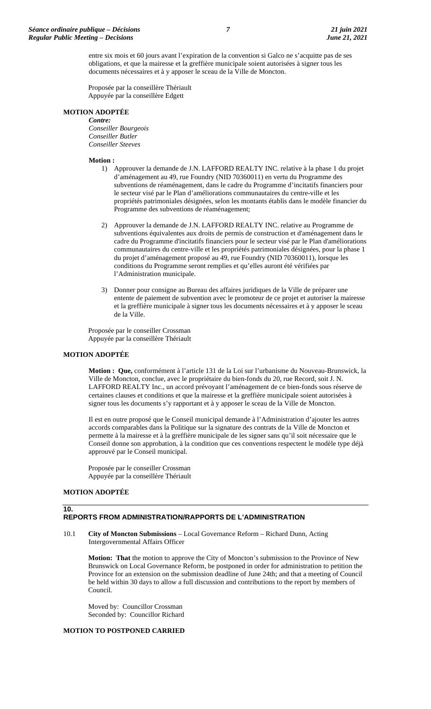entre six mois et 60 jours avant l'expiration de la convention si Galco ne s'acquitte pas de ses obligations, et que la mairesse et la greffière municipale soient autorisées à signer tous les documents nécessaires et à y apposer le sceau de la Ville de Moncton.

Proposée par la conseillère Thériault Appuyée par la conseillère Edgett

## **MOTION ADOPTÉE**

*Contre: Conseiller Bourgeois Conseiller Butler Conseiller Steeves*

#### **Motion :**

- 1) Approuver la demande de J.N. LAFFORD REALTY INC. relative à la phase 1 du projet d'aménagement au 49, rue Foundry (NID 70360011) en vertu du Programme des subventions de réaménagement, dans le cadre du Programme d'incitatifs financiers pour le secteur visé par le Plan d'améliorations communautaires du centre-ville et les propriétés patrimoniales désignées, selon les montants établis dans le modèle financier du Programme des subventions de réaménagement;
- 2) Approuver la demande de J.N. LAFFORD REALTY INC. relative au Programme de subventions équivalentes aux droits de permis de construction et d'aménagement dans le cadre du Programme d'incitatifs financiers pour le secteur visé par le Plan d'améliorations communautaires du centre-ville et les propriétés patrimoniales désignées, pour la phase 1 du projet d'aménagement proposé au 49, rue Foundry (NID 70360011), lorsque les conditions du Programme seront remplies et qu'elles auront été vérifiées par l'Administration municipale.
- 3) Donner pour consigne au Bureau des affaires juridiques de la Ville de préparer une entente de paiement de subvention avec le promoteur de ce projet et autoriser la mairesse et la greffière municipale à signer tous les documents nécessaires et à y apposer le sceau de la Ville.

Proposée par le conseiller Crossman Appuyée par la conseillère Thériault

#### **MOTION ADOPTÉE**

**Motion : Que,** conformément à l'article 131 de la Loi sur l'urbanisme du Nouveau-Brunswick, la Ville de Moncton, conclue, avec le propriétaire du bien-fonds du 20, rue Record, soit J. N. LAFFORD REALTY Inc., un accord prévoyant l'aménagement de ce bien-fonds sous réserve de certaines clauses et conditions et que la mairesse et la greffière municipale soient autorisées à signer tous les documents s'y rapportant et à y apposer le sceau de la Ville de Moncton.

Il est en outre proposé que le Conseil municipal demande à l'Administration d'ajouter les autres accords comparables dans la Politique sur la signature des contrats de la Ville de Moncton et permette à la mairesse et à la greffière municipale de les signer sans qu'il soit nécessaire que le Conseil donne son approbation, à la condition que ces conventions respectent le modèle type déjà approuvé par le Conseil municipal.

Proposée par le conseiller Crossman Appuyée par la conseillère Thériault

## **MOTION ADOPTÉE**

#### **10.**

## **REPORTS FROM ADMINISTRATION/RAPPORTS DE L'ADMINISTRATION**

10.1 **City of Moncton Submissions** – Local Governance Reform – Richard Dunn, Acting Intergovernmental Affairs Officer

**Motion: That** the motion to approve the City of Moncton's submission to the Province of New Brunswick on Local Governance Reform, be postponed in order for administration to petition the Province for an extension on the submission deadline of June 24th; and that a meeting of Council be held within 30 days to allow a full discussion and contributions to the report by members of Council.

Moved by: Councillor Crossman Seconded by: Councillor Richard

## **MOTION TO POSTPONED CARRIED**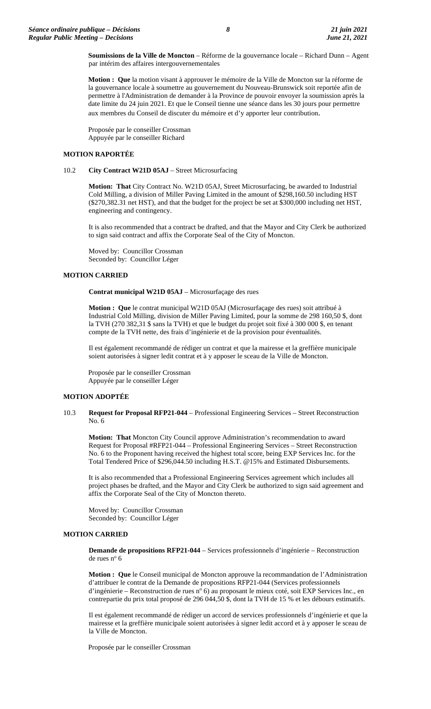**Soumissions de la Ville de Moncton** – Réforme de la gouvernance locale – Richard Dunn – Agent par intérim des affaires intergouvernementales

**Motion : Que** la motion visant à approuver le mémoire de la Ville de Moncton sur la réforme de la gouvernance locale à soumettre au gouvernement du Nouveau-Brunswick soit reportée afin de permettre à l'Administration de demander à la Province de pouvoir envoyer la soumission après la date limite du 24 juin 2021. Et que le Conseil tienne une séance dans les 30 jours pour permettre aux membres du Conseil de discuter du mémoire et d'y apporter leur contribution.

Proposée par le conseiller Crossman Appuyée par le conseiller Richard

## **MOTION RAPORTÉE**

## 10.2 **City Contract W21D 05AJ** – Street Microsurfacing

**Motion: That** City Contract No. W21D 05AJ, Street Microsurfacing, be awarded to Industrial Cold Milling, a division of Miller Paving Limited in the amount of \$298,160.50 including HST (\$270,382.31 net HST), and that the budget for the project be set at \$300,000 including net HST, engineering and contingency.

It is also recommended that a contract be drafted, and that the Mayor and City Clerk be authorized to sign said contract and affix the Corporate Seal of the City of Moncton.

Moved by: Councillor Crossman Seconded by: Councillor Léger

#### **MOTION CARRIED**

**Contrat municipal W21D 05AJ** – Microsurfaçage des rues

**Motion : Que** le contrat municipal W21D 05AJ (Microsurfaçage des rues) soit attribué à Industrial Cold Milling, division de Miller Paving Limited, pour la somme de 298 160,50 \$, dont la TVH (270 382,31 \$ sans la TVH) et que le budget du projet soit fixé à 300 000 \$, en tenant compte de la TVH nette, des frais d'ingénierie et de la provision pour éventualités.

Il est également recommandé de rédiger un contrat et que la mairesse et la greffière municipale soient autorisées à signer ledit contrat et à y apposer le sceau de la Ville de Moncton.

Proposée par le conseiller Crossman Appuyée par le conseiller Léger

### **MOTION ADOPTÉE**

10.3 **Request for Proposal RFP21-044** – Professional Engineering Services – Street Reconstruction No. 6

**Motion: That** Moncton City Council approve Administration's recommendation to award Request for Proposal #RFP21-044 – Professional Engineering Services – Street Reconstruction No. 6 to the Proponent having received the highest total score, being EXP Services Inc. for the Total Tendered Price of \$296,044.50 including H.S.T. @15% and Estimated Disbursements.

It is also recommended that a Professional Engineering Services agreement which includes all project phases be drafted, and the Mayor and City Clerk be authorized to sign said agreement and affix the Corporate Seal of the City of Moncton thereto.

Moved by: Councillor Crossman Seconded by: Councillor Léger

#### **MOTION CARRIED**

**Demande de propositions RFP21-044** – Services professionnels d'ingénierie – Reconstruction de rues nº 6

**Motion : Que** le Conseil municipal de Moncton approuve la recommandation de l'Administration d'attribuer le contrat de la Demande de propositions RFP21-044 (Services professionnels d'ingénierie – Reconstruction de rues n° 6) au proposant le mieux coté, soit EXP Services Inc., en contrepartie du prix total proposé de 296 044,50 \$, dont la TVH de 15 % et les débours estimatifs.

Il est également recommandé de rédiger un accord de services professionnels d'ingénierie et que la mairesse et la greffière municipale soient autorisées à signer ledit accord et à y apposer le sceau de la Ville de Moncton.

Proposée par le conseiller Crossman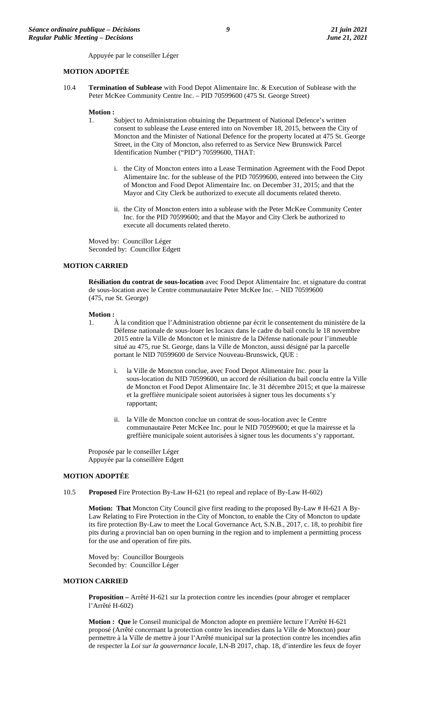Appuyée par le conseiller Léger

#### **MOTION ADOPTÉE**

10.4 **Termination of Sublease** with Food Depot Alimentaire Inc. & Execution of Sublease with the Peter McKee Community Centre Inc. – PID 70599600 (475 St. George Street)

#### **Motion :**

- 1. Subject to Administration obtaining the Department of National Defence's written consent to sublease the Lease entered into on November 18, 2015, between the City of Moncton and the Minister of National Defence for the property located at 475 St. George Street, in the City of Moncton, also referred to as Service New Brunswick Parcel Identification Number ("PID") 70599600, THAT:
	- i. the City of Moncton enters into a Lease Termination Agreement with the Food Depot Alimentaire Inc. for the sublease of the PID 70599600, entered into between the City of Moncton and Food Depot Alimentaire Inc. on December 31, 2015; and that the Mayor and City Clerk be authorized to execute all documents related thereto.
	- ii. the City of Moncton enters into a sublease with the Peter McKee Community Center Inc. for the PID 70599600; and that the Mayor and City Clerk be authorized to execute all documents related thereto.

Moved by: Councillor Léger Seconded by: Councillor Edgett

#### **MOTION CARRIED**

**Résiliation du contrat de sous-location** avec Food Depot Alimentaire Inc. et signature du contrat de sous-location avec le Centre communautaire Peter McKee Inc. – NID 70599600 (475, rue St. George)

### **Motion :**

- 1. À la condition que l'Administration obtienne par écrit le consentement du ministère de la Défense nationale de sous-louer les locaux dans le cadre du bail conclu le 18 novembre 2015 entre la Ville de Moncton et le ministre de la Défense nationale pour l'immeuble situé au 475, rue St. George, dans la Ville de Moncton, aussi désigné par la parcelle portant le NID 70599600 de Service Nouveau-Brunswick, QUE :
	- i. la Ville de Moncton conclue, avec Food Depot Alimentaire Inc. pour la sous-location du NID 70599600, un accord de résiliation du bail conclu entre la Ville de Moncton et Food Depot Alimentaire Inc. le 31 décembre 2015; et que la mairesse et la greffière municipale soient autorisées à signer tous les documents s'y rapportant;
	- ii. la Ville de Moncton conclue un contrat de sous-location avec le Centre communautaire Peter McKee Inc. pour le NID 70599600; et que la mairesse et la greffière municipale soient autorisées à signer tous les documents s'y rapportant.

Proposée par le conseiller Léger Appuyée par la conseillère Edgett

### **MOTION ADOPTÉE**

10.5 **Proposed** Fire Protection By-Law H-621 (to repeal and replace of By-Law H-602)

**Motion: That** Moncton City Council give first reading to the proposed By-Law # H-621 A By-Law Relating to Fire Protection in the City of Moncton, to enable the City of Moncton to update its fire protection By-Law to meet the Local Governance Act, S.N.B., 2017, c. 18, to prohibit fire pits during a provincial ban on open burning in the region and to implement a permitting process for the use and operation of fire pits.

Moved by: Councillor Bourgeois Seconded by: Councillor Léger

#### **MOTION CARRIED**

**Proposition –** Arrêté H-621 sur la protection contre les incendies (pour abroger et remplacer l'Arrêté H-602)

**Motion : Que** le Conseil municipal de Moncton adopte en première lecture l'Arrêté H-621 proposé (Arrêté concernant la protection contre les incendies dans la Ville de Moncton) pour permettre à la Ville de mettre à jour l'Arrêté municipal sur la protection contre les incendies afin de respecter la *Loi sur la gouvernance locale*, LN-B 2017, chap. 18, d'interdire les feux de foyer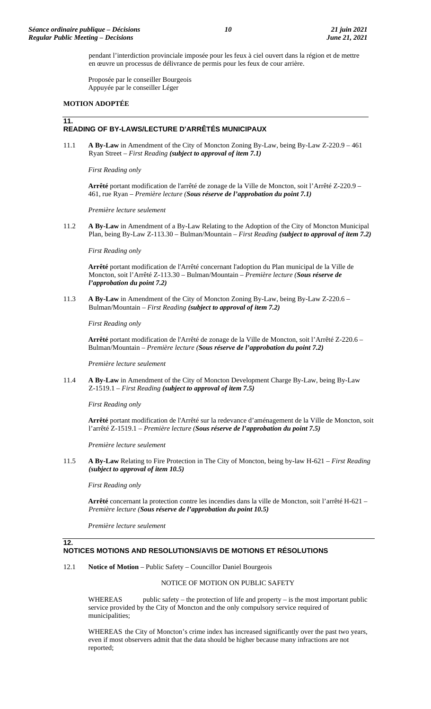pendant l'interdiction provinciale imposée pour les feux à ciel ouvert dans la région et de mettre en œuvre un processus de délivrance de permis pour les feux de cour arrière.

Proposée par le conseiller Bourgeois Appuyée par le conseiller Léger

#### **MOTION ADOPTÉE**

# **11.**

# **READING OF BY-LAWS/LECTURE D'ARRÊTÉS MUNICIPAUX**

11.1 **A By-Law** in Amendment of the City of Moncton Zoning By-Law, being By-Law Z-220.9 – 461 Ryan Street – *First Reading (subject to approval of item 7.1)*

*First Reading only*

**Arrêté** portant modification de l'arrêté de zonage de la Ville de Moncton, soit l'Arrêté Z-220.9 – 461, rue Ryan – *Première lecture (Sous réserve de l'approbation du point 7.1)*

*Première lecture seulement*

11.2 **A By-Law** in Amendment of a By-Law Relating to the Adoption of the City of Moncton Municipal Plan, being By-Law Z-113.30 – Bulman/Mountain – *First Reading (subject to approval of item 7.2)*

*First Reading only*

**Arrêté** portant modification de l'Arrêté concernant l'adoption du Plan municipal de la Ville de Moncton, soit l'Arrêté Z-113.30 – Bulman/Mountain – *Première lecture (Sous réserve de l'approbation du point 7.2)*

11.3 **A By-Law** in Amendment of the City of Moncton Zoning By-Law, being By-Law Z-220.6 – Bulman/Mountain – *First Reading (subject to approval of item 7.2)*

*First Reading only*

**Arrêté** portant modification de l'Arrêté de zonage de la Ville de Moncton, soit l'Arrêté Z-220.6 – Bulman/Mountain – *Première lecture (Sous réserve de l'approbation du point 7.2)*

*Première lecture seulement*

11.4 **A By-Law** in Amendment of the City of Moncton Development Charge By-Law, being By-Law Z-1519.1 – *First Reading (subject to approval of item 7.5)*

*First Reading only*

**Arrêté** portant modification de l'Arrêté sur la redevance d'aménagement de la Ville de Moncton, soit l'arrêté Z-1519.1 *– Première lecture (Sous réserve de l'approbation du point 7.5)*

*Première lecture seulement*

11.5 **A By-Law** Relating to Fire Protection in The City of Moncton, being by-law H-621 – *First Reading (subject to approval of item 10.5)*

*First Reading only*

**Arrêté** concernant la protection contre les incendies dans la ville de Moncton, soit l'arrêté H-621 – *Première lecture (Sous réserve de l'approbation du point 10.5)*

*Première lecture seulement*

### **12.**

# **NOTICES MOTIONS AND RESOLUTIONS/AVIS DE MOTIONS ET RÉSOLUTIONS**

12.1 **Notice of Motion** – Public Safety – Councillor Daniel Bourgeois

#### NOTICE OF MOTION ON PUBLIC SAFETY

WHEREAS public safety – the protection of life and property – is the most important public service provided by the City of Moncton and the only compulsory service required of municipalities;

WHEREAS the City of Moncton's crime index has increased significantly over the past two years, even if most observers admit that the data should be higher because many infractions are not reported;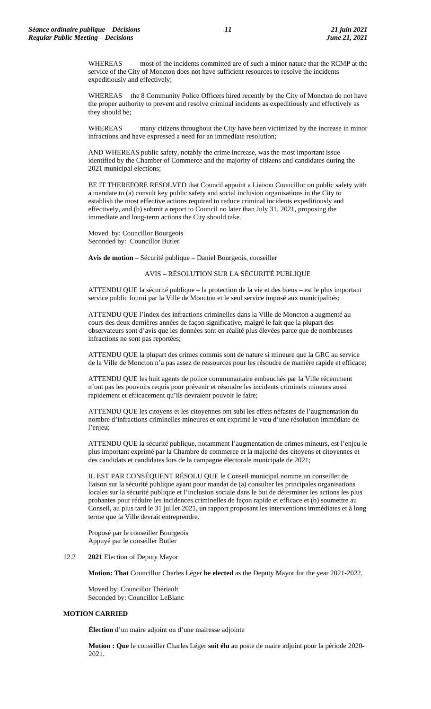WHEREAS most of the incidents committed are of such a minor nature that the RCMP at the service of the City of Moncton does not have sufficient resources to resolve the incidents expeditiously and effectively;

WHEREAS the 8 Community Police Officers hired recently by the City of Moncton do not have the proper authority to prevent and resolve criminal incidents as expeditiously and effectively as they should be;

WHEREAS many citizens throughout the City have been victimized by the increase in minor infractions and have expressed a need for an immediate resolution;

AND WHEREAS public safety, notably the crime increase, was the most important issue identified by the Chamber of Commerce and the majority of citizens and candidates during the 2021 municipal elections;

BE IT THEREFORE RESOLVED that Council appoint a Liaison Councillor on public safety with a mandate to (a) consult key public safety and social inclusion organisations in the City to establish the most effective actions required to reduce criminal incidents expeditiously and effectively, and (b) submit a report to Council no later than July 31, 2021, proposing the immediate and long-term actions the City should take.

Moved by: Councillor Bourgeois Seconded by: Councillor Butler

**Avis de motion** – Sécurité publique – Daniel Bourgeois, conseiller

## AVIS – RÉSOLUTION SUR LA SÉCURITÉ PUBLIQUE

ATTENDU QUE la sécurité publique – la protection de la vie et des biens – est le plus important service public fourni par la Ville de Moncton et le seul service imposé aux municipalités;

ATTENDU QUE l'index des infractions criminelles dans la Ville de Moncton a augmenté au cours des deux dernières années de façon significative, malgré le fait que la plupart des observateurs sont d'avis que les données sont en réalité plus élevées parce que de nombreuses infractions ne sont pas reportées;

ATTENDU QUE la plupart des crimes commis sont de nature si mineure que la GRC au service de la Ville de Moncton n'a pas assez de ressources pour les résoudre de manière rapide et efficace;

ATTENDU QUE les huit agents de police communautaire embauchés par la Ville récemment n'ont pas les pouvoirs requis pour prévenir et résoudre les incidents criminels mineurs aussi rapidement et efficacement qu'ils devraient pouvoir le faire;

ATTENDU QUE les citoyens et les citoyennes ont subi les effets néfastes de l'augmentation du nombre d'infractions criminelles mineures et ont exprimé le vœu d'une résolution immédiate de l'enjeu;

ATTENDU QUE la sécurité publique, notamment l'augmentation de crimes mineurs, est l'enjeu le plus important exprimé par la Chambre de commerce et la majorité des citoyens et citoyennes et des candidats et candidates lors de la campagne électorale municipale de 2021;

IL EST PAR CONSÉQUENT RÉSOLU QUE le Conseil municipal nomme un conseiller de liaison sur la sécurité publique ayant pour mandat de (a) consulter les principales organisations locales sur la sécurité publique et l'inclusion sociale dans le but de déterminer les actions les plus probantes pour réduire les incidences criminelles de façon rapide et efficace et (b) soumettre au Conseil, au plus tard le 31 juillet 2021, un rapport proposant les interventions immédiates et à long terme que la Ville devrait entreprendre.

Proposé par le conseiller Bourgeois Appuyé par le conseiller Butler

#### 12.2 **2021** Election of Deputy Mayor

**Motion: That** Councillor Charles Léger **be elected** as the Deputy Mayor for the year 2021-2022.

Moved by: Councillor Thériault Seconded by: Councillor LeBlanc

#### **MOTION CARRIED**

**Élection** d'un maire adjoint ou d'une mairesse adjointe

**Motion : Que** le conseiller Charles Léger **soit élu** au poste de maire adjoint pour la période 2020- 2021.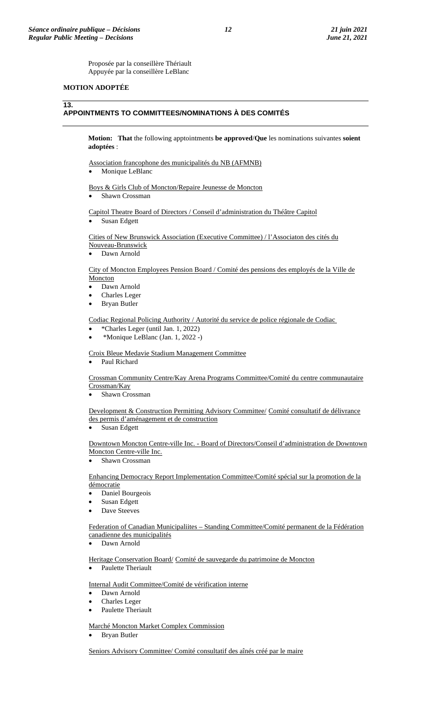Proposée par la conseillère Thériault Appuyée par la conseillère LeBlanc

## **MOTION ADOPTÉE**

#### **13.**

# **APPOINTMENTS TO COMMITTEES/NOMINATIONS À DES COMITÉS**

**Motion: That** the following apptointments **be approved**/**Que** les nominations suivantes **soient adoptées** :

Association francophone des municipalités du NB (AFMNB)

Monique LeBlanc

Boys & Girls Club of Moncton/Repaire Jeunesse de Moncton

• Shawn Crossman

Capitol Theatre Board of Directors / Conseil d'administration du Théâtre Capitol Susan Edgett

Cities of New Brunswick Association (Executive Committee) / l'Associaton des cités du Nouveau-Brunswick

• Dawn Arnold

## City of Moncton Employees Pension Board / Comité des pensions des employés de la Ville de **Moncton**

- Dawn Arnold
- Charles Leger
- Bryan Butler

Codiac Regional Policing Authority / Autorité du service de police régionale de Codiac

- \*Charles Leger (until Jan. 1, 2022)
- \*Monique LeBlanc (Jan. 1, 2022 -)

Croix Bleue Medavie Stadium Management Committee

• Paul Richard

Crossman Community Centre/Kay Arena Programs Committee/Comité du centre communautaire Crossman/Kay

Shawn Crossman

Development & Construction Permitting Advisory Committee/ Comité consultatif de délivrance des permis d'aménagement et de construction

• Susan Edgett

Downtown Moncton Centre-ville Inc. - Board of Directors/Conseil d'administration de Downtown Moncton Centre-ville Inc.

Shawn Crossman

Enhancing Democracy Report Implementation Committee/Comité spécial sur la promotion de la démocratie

- Daniel Bourgeois
- Susan Edgett
- Dave Steeves

Federation of Canadian Municipaliites – Standing Committee/Comité permanent de la Fédération canadienne des municipalités

Dawn Arnold

Heritage Conservation Board/ Comité de sauvegarde du patrimoine de Moncton

• Paulette Theriault

Internal Audit Committee/Comité de vérification interne

- Dawn Arnold
- Charles Leger
- Paulette Theriault

Marché Moncton Market Complex Commission

• Bryan Butler

Seniors Advisory Committee/ Comité consultatif des aînés créé par le maire